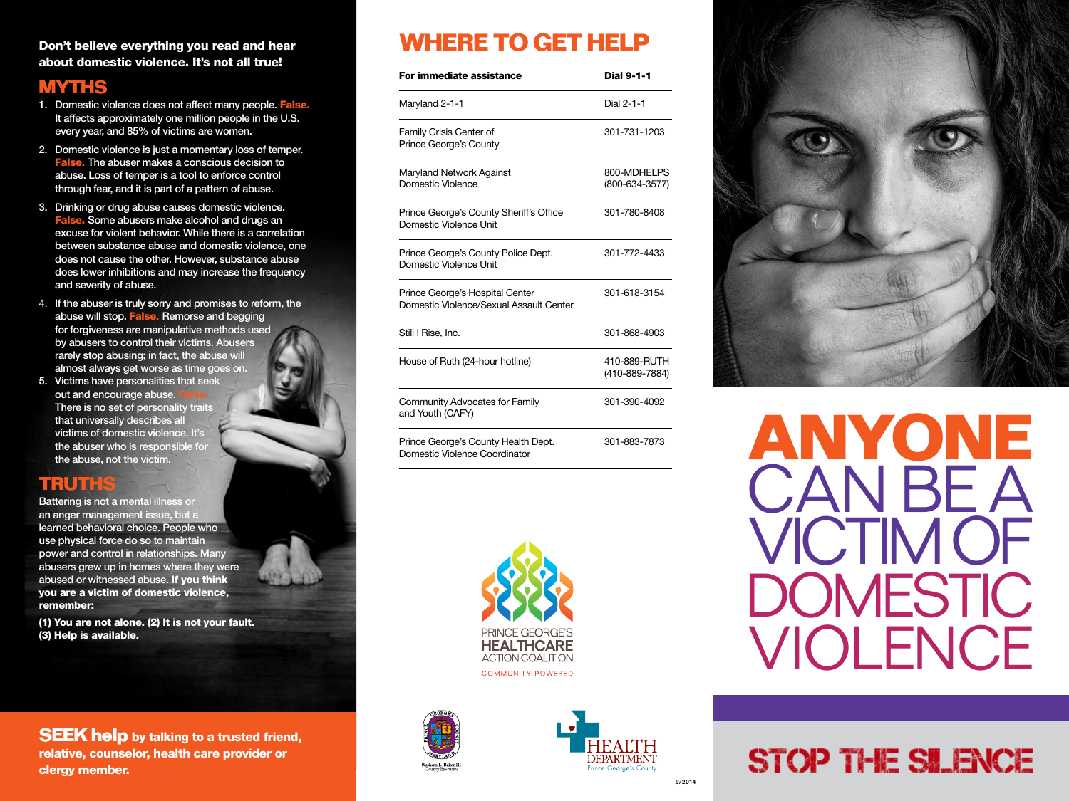### Don't believe everything you read and hear about domestic violence. It's not all true!

## **MYTHS**

- 1. Domestic violence does not affect many people. False. It affects approximately one million people in the U.S. every year, and 85% of victims are women.
- 2. Domestic violence is just a momentary loss of temper. False. The abuser makes a conscious decision to abuse. Loss of temper is a tool to enforce control through fear, and it is part of a pattern of abuse.
- 3. Drinking or drug abuse causes domestic violence. False. Some abusers make alcohol and drugs an excuse for violent behavior. While there is a correlation between substance abuse and domestic violence, one does not cause the other. However, substance abuse does lower inhibitions and may increase the frequency and severity of abuse.
- 4. If the abuser is truly sorry and promises to reform, the abuse will stop. False. Remorse and begging for forgiveness are manipulative methods used by abusers to control their victims. Abusers rarely stop abusing; in fact, the abuse will almost always get worse as time goes on.
- 5. Victims have personalities that seek out and encourage abuse. There is no set of personality traits that universally describes all victims of domestic violence. It's the abuser who is responsible for the abuse, not the victim.

## **TRUTHS**

Battering is not a mental illness or an anger management issue, but a learned behavioral choice. People who use physical force do so to maintain power and control in relationships. Many abusers grew up in homes where they were abused or witnessed abuse. If you think you are a victim of domestic violence, remember:

(1) You are not alone. (2) It is not your fault. (3) Help is available.

**SEEK help** by talking to a trusted friend, relative, counselor, health care provider or clergy member.

# **WHERE TO GET HELP**

| For immediate assistance                                                   | <b>Dial 9-1-1</b>              |
|----------------------------------------------------------------------------|--------------------------------|
| Maryland 2-1-1                                                             | Dial 2-1-1                     |
| Family Crisis Center of<br>Prince George's County                          | 301-731-1203                   |
| Maryland Network Against<br>Domestic Violence                              | 800-MDHELPS<br>(800-634-3577)  |
| Prince George's County Sheriff's Office<br>Domestic Violence Unit          | 301-780-8408                   |
| Prince George's County Police Dept.<br>Domestic Violence Unit              | 301-772-4433                   |
| Prince George's Hospital Center<br>Domestic Violence/Sexual Assault Center | 301-618-3154                   |
| Still I Rise, Inc.                                                         | 301-868-4903                   |
| House of Ruth (24-hour hotline)                                            | 410-889-RUTH<br>(410-889-7884) |
| Community Advocates for Family<br>and Youth (CAFY)                         | 301-390-4092                   |
| Prince George's County Health Dept.<br>Domestic Violence Coordinator       | 301-883-7873                   |







# **STOP THE SILENCE**

**ANYONE**

CAN BE A

**VICTIM OF** 

DOMESTIC

VIOLENCE